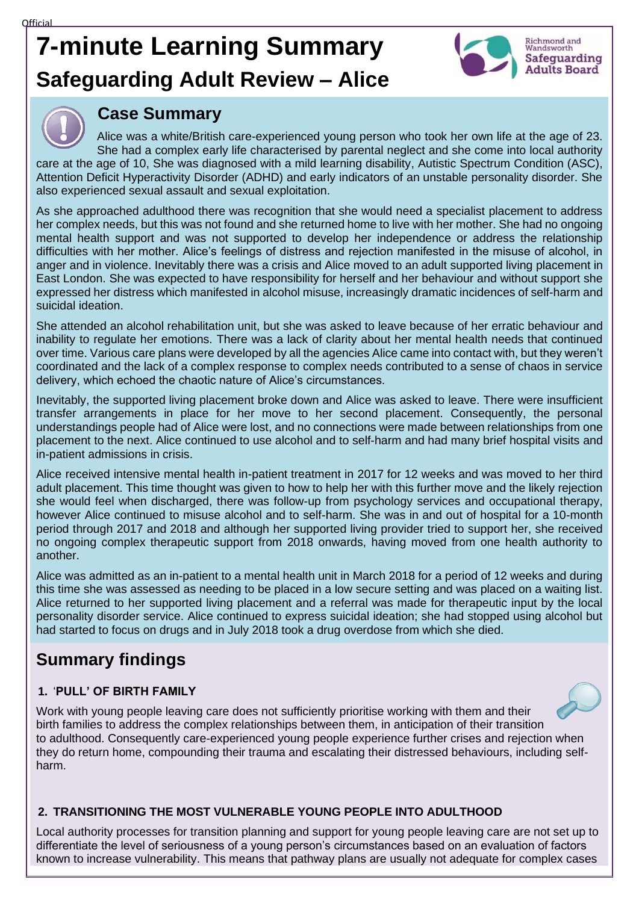# **7-minute Learning Summary Safeguarding Adult Review – Alice**





## **Case Summary**

Alice was a white/British care-experienced young person who took her own life at the age of 23. She had a complex early life characterised by parental neglect and she come into local authority care at the age of 10, She was diagnosed with a mild learning disability, Autistic Spectrum Condition (ASC), Attention Deficit Hyperactivity Disorder (ADHD) and early indicators of an unstable personality disorder. She also experienced sexual assault and sexual exploitation.

As she approached adulthood there was recognition that she would need a specialist placement to address her complex needs, but this was not found and she returned home to live with her mother. She had no ongoing mental health support and was not supported to develop her independence or address the relationship difficulties with her mother. Alice's feelings of distress and rejection manifested in the misuse of alcohol, in anger and in violence. Inevitably there was a crisis and Alice moved to an adult supported living placement in East London. She was expected to have responsibility for herself and her behaviour and without support she expressed her distress which manifested in alcohol misuse, increasingly dramatic incidences of self-harm and suicidal ideation.

She attended an alcohol rehabilitation unit, but she was asked to leave because of her erratic behaviour and inability to regulate her emotions. There was a lack of clarity about her mental health needs that continued over time. Various care plans were developed by all the agencies Alice came into contact with, but they weren't coordinated and the lack of a complex response to complex needs contributed to a sense of chaos in service delivery, which echoed the chaotic nature of Alice's circumstances.

Inevitably, the supported living placement broke down and Alice was asked to leave. There were insufficient transfer arrangements in place for her move to her second placement. Consequently, the personal understandings people had of Alice were lost, and no connections were made between relationships from one placement to the next. Alice continued to use alcohol and to self-harm and had many brief hospital visits and in-patient admissions in crisis.

Alice received intensive mental health in-patient treatment in 2017 for 12 weeks and was moved to her third adult placement. This time thought was given to how to help her with this further move and the likely rejection she would feel when discharged, there was follow-up from psychology services and occupational therapy, however Alice continued to misuse alcohol and to self-harm. She was in and out of hospital for a 10-month period through 2017 and 2018 and although her supported living provider tried to support her, she received no ongoing complex therapeutic support from 2018 onwards, having moved from one health authority to another.

Alice was admitted as an in-patient to a mental health unit in March 2018 for a period of 12 weeks and during this time she was assessed as needing to be placed in a low secure setting and was placed on a waiting list. Alice returned to her supported living placement and a referral was made for therapeutic input by the local personality disorder service. Alice continued to express suicidal ideation; she had stopped using alcohol but had started to focus on drugs and in July 2018 took a drug overdose from which she died.

# **Summary findings**

#### **1.** '**PULL' OF BIRTH FAMILY**



Work with young people leaving care does not sufficiently prioritise working with them and their birth families to address the complex relationships between them, in anticipation of their transition to adulthood. Consequently care-experienced young people experience further crises and rejection when they do return home, compounding their trauma and escalating their distressed behaviours, including selfharm.

#### **2. TRANSITIONING THE MOST VULNERABLE YOUNG PEOPLE INTO ADULTHOOD**

Local authority processes for transition planning and support for young people leaving care are not set up to differentiate the level of seriousness of a young person's circumstances based on an evaluation of factors known to increase vulnerability. This means that pathway plans are usually not adequate for complex cases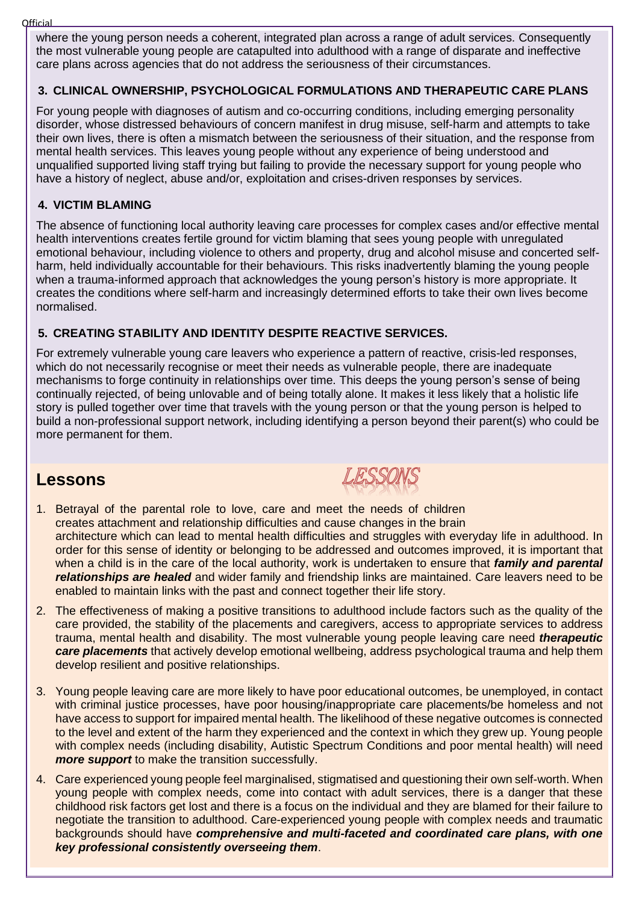**Official** 

where the young person needs a coherent, integrated plan across a range of adult services. Consequently the most vulnerable young people are catapulted into adulthood with a range of disparate and ineffective care plans across agencies that do not address the seriousness of their circumstances.

#### **3. CLINICAL OWNERSHIP, PSYCHOLOGICAL FORMULATIONS AND THERAPEUTIC CARE PLANS**

For young people with diagnoses of autism and co-occurring conditions, including emerging personality disorder, whose distressed behaviours of concern manifest in drug misuse, self-harm and attempts to take their own lives, there is often a mismatch between the seriousness of their situation, and the response from mental health services. This leaves young people without any experience of being understood and unqualified supported living staff trying but failing to provide the necessary support for young people who have a history of neglect, abuse and/or, exploitation and crises-driven responses by services.

#### **4. VICTIM BLAMING**

The absence of functioning local authority leaving care processes for complex cases and/or effective mental health interventions creates fertile ground for victim blaming that sees young people with unregulated emotional behaviour, including violence to others and property, drug and alcohol misuse and concerted selfharm, held individually accountable for their behaviours. This risks inadvertently blaming the young people when a trauma-informed approach that acknowledges the young person's history is more appropriate. It creates the conditions where self-harm and increasingly determined efforts to take their own lives become normalised.

#### **5. CREATING STABILITY AND IDENTITY DESPITE REACTIVE SERVICES.**

For extremely vulnerable young care leavers who experience a pattern of reactive, crisis-led responses, which do not necessarily recognise or meet their needs as vulnerable people, there are inadequate mechanisms to forge continuity in relationships over time. This deeps the young person's sense of being continually rejected, of being unlovable and of being totally alone. It makes it less likely that a holistic life story is pulled together over time that travels with the young person or that the young person is helped to build a non-professional support network, including identifying a person beyond their parent(s) who could be more permanent for them.

### **Lessons**



- 1. Betrayal of the parental role to love, care and meet the needs of children creates attachment and relationship difficulties and cause changes in the brain architecture which can lead to mental health difficulties and struggles with everyday life in adulthood. In order for this sense of identity or belonging to be addressed and outcomes improved, it is important that when a child is in the care of the local authority, work is undertaken to ensure that *family and parental relationships are healed* and wider family and friendship links are maintained. Care leavers need to be enabled to maintain links with the past and connect together their life story.
- 2. The effectiveness of making a positive transitions to adulthood include factors such as the quality of the care provided, the stability of the placements and caregivers, access to appropriate services to address trauma, mental health and disability. The most vulnerable young people leaving care need *therapeutic care placements* that actively develop emotional wellbeing, address psychological trauma and help them develop resilient and positive relationships.
- 3. Young people leaving care are more likely to have poor educational outcomes, be unemployed, in contact with criminal justice processes, have poor housing/inappropriate care placements/be homeless and not have access to support for impaired mental health. The likelihood of these negative outcomes is connected to the level and extent of the harm they experienced and the context in which they grew up. Young people with complex needs (including disability, Autistic Spectrum Conditions and poor mental health) will need *more support* to make the transition successfully.
- 4. Care experienced young people feel marginalised, stigmatised and questioning their own self-worth. When young people with complex needs, come into contact with adult services, there is a danger that these childhood risk factors get lost and there is a focus on the individual and they are blamed for their failure to negotiate the transition to adulthood. Care-experienced young people with complex needs and traumatic backgrounds should have *comprehensive and multi-faceted and coordinated care plans, with one key professional consistently overseeing them*.